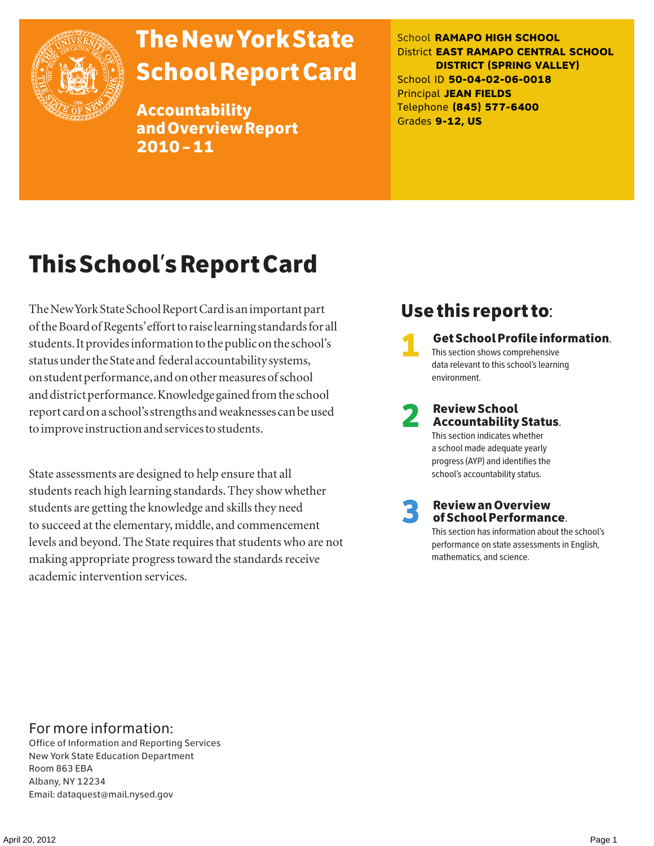

# The New York State School Report Card

Accountability and Overview Report 2010–11

School **RAMAPO HIGH SCHOOL** District **EAST RAMAPO CENTRAL SCHOOL DISTRICT (SPRING VALLEY)** School ID **50-04-02-06-0018** Principal **JEAN FIELDS** Telephone **(845) 577-6400** Grades **9-12, US**

# This School's Report Card

The New York State School Report Card is an important part of the Board of Regents' effort to raise learning standards for all students. It provides information to the public on the school's status under the State and federal accountability systems, on student performance, and on other measures of school and district performance. Knowledge gained from the school report card on a school's strengths and weaknesses can be used to improve instruction and services to students.

State assessments are designed to help ensure that all students reach high learning standards. They show whether students are getting the knowledge and skills they need to succeed at the elementary, middle, and commencement levels and beyond. The State requires that students who are not making appropriate progress toward the standards receive academic intervention services.

### Use this report to:

1 Get School Profile information. This section shows comprehensive data relevant to this school's learning environment.

### 2 Review School Accountability Status. This section indicates whether

a school made adequate yearly progress (AYP) and identifies the school's accountability status.

3 Review an Overview of School Performance.

This section has information about the school's performance on state assessments in English, mathematics, and science.

### For more information:

Office of Information and Reporting Services New York State Education Department Room 863 EBA Albany, NY 12234 Email: dataquest@mail.nysed.gov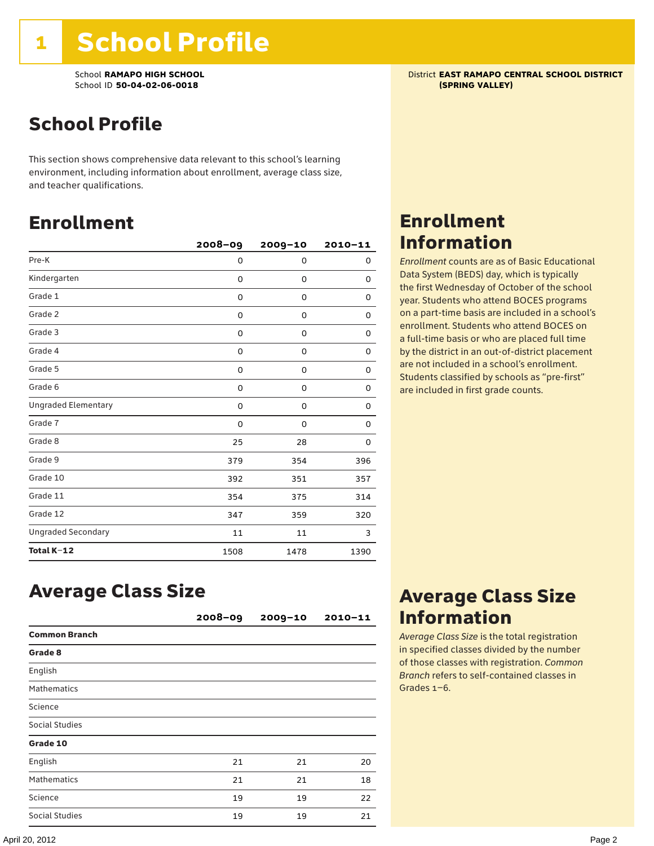School **RAMAPO HIGH SCHOOL**<br>School ID 50-04-02-06-0018<br>**School ID 50-04-02-06-0018** School ID 50-04-02-06-0018

## School Profile

This section shows comprehensive data relevant to this school's learning environment, including information about enrollment, average class size, and teacher qualifications.

### Enrollment

|                            | $2008 - 09$ | 2009-10     | $2010 - 11$ |
|----------------------------|-------------|-------------|-------------|
| Pre-K                      | 0           | 0           | 0           |
| Kindergarten               | 0           | $\mathbf 0$ | 0           |
| Grade 1                    | 0           | 0           | 0           |
| Grade 2                    | 0           | 0           | 0           |
| Grade 3                    | 0           | 0           | 0           |
| Grade 4                    | 0           | 0           | 0           |
| Grade 5                    | 0           | 0           | 0           |
| Grade 6                    | 0           | 0           | 0           |
| <b>Ungraded Elementary</b> | 0           | $\mathbf 0$ | 0           |
| Grade 7                    | 0           | $\mathbf 0$ | 0           |
| Grade 8                    | 25          | 28          | 0           |
| Grade 9                    | 379         | 354         | 396         |
| Grade 10                   | 392         | 351         | 357         |
| Grade 11                   | 354         | 375         | 314         |
| Grade 12                   | 347         | 359         | 320         |
| <b>Ungraded Secondary</b>  | 11          | 11          | 3           |
| Total K-12                 | 1508        | 1478        | 1390        |

## Enrollment Information

*Enrollment* counts are as of Basic Educational Data System (BEDS) day, which is typically the first Wednesday of October of the school year. Students who attend BOCES programs on a part-time basis are included in a school's enrollment. Students who attend BOCES on a full-time basis or who are placed full time by the district in an out-of-district placement are not included in a school's enrollment. Students classified by schools as "pre-first" are included in first grade counts.

### Average Class Size

|                      | 2008-09 | $2009 - 10$ | $2010 - 11$ |
|----------------------|---------|-------------|-------------|
| <b>Common Branch</b> |         |             |             |
| Grade 8              |         |             |             |
| English              |         |             |             |
| <b>Mathematics</b>   |         |             |             |
| Science              |         |             |             |
| Social Studies       |         |             |             |
| Grade 10             |         |             |             |
| English              | 21      | 21          | 20          |
| <b>Mathematics</b>   | 21      | 21          | 18          |
| Science              | 19      | 19          | 22          |
| Social Studies       | 19      | 19          | 21          |

### Average Class Size Information

*Average Class Size* is the total registration in specified classes divided by the number of those classes with registration. *Common Branch* refers to self-contained classes in Grades 1–6.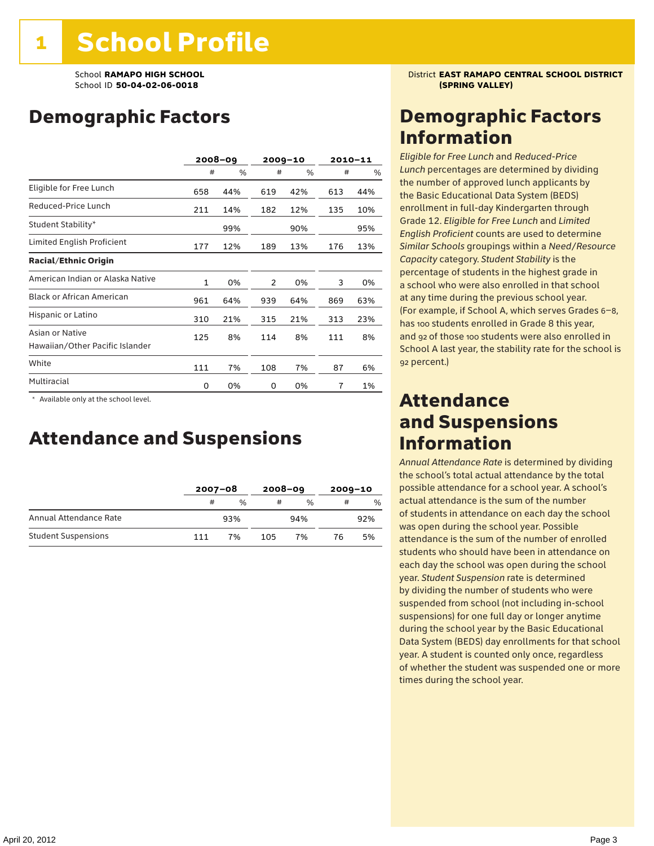### Demographic Factors

|                                                    |              | $2008 - 09$ |     | $2009 - 10$ |     | $2010 - 11$ |
|----------------------------------------------------|--------------|-------------|-----|-------------|-----|-------------|
|                                                    | #            | %           | #   | %           | #   | %           |
| Eligible for Free Lunch                            | 658          | 44%         | 619 | 42%         | 613 | 44%         |
| Reduced-Price Lunch                                | 211          | 14%         | 182 | 12%         | 135 | 10%         |
| Student Stability*                                 |              | 99%         |     | 90%         |     | 95%         |
| Limited English Proficient                         | 177          | 12%         | 189 | 13%         | 176 | 13%         |
| <b>Racial/Ethnic Origin</b>                        |              |             |     |             |     |             |
| American Indian or Alaska Native                   | $\mathbf{1}$ | 0%          | 2   | 0%          | 3   | 0%          |
| <b>Black or African American</b>                   | 961          | 64%         | 939 | 64%         | 869 | 63%         |
| Hispanic or Latino                                 | 310          | 21%         | 315 | 21%         | 313 | 23%         |
| Asian or Native<br>Hawaiian/Other Pacific Islander | 125          | 8%          | 114 | 8%          | 111 | 8%          |
| White                                              | 111          | 7%          | 108 | 7%          | 87  | 6%          |
| Multiracial                                        | 0            | 0%          | 0   | 0%          | 7   | 1%          |

 \* Available only at the school level.

### Attendance and Suspensions

|                            |     | $2007 - 08$ |     | $2008 - 09$ |    | $2009 - 10$ |  |
|----------------------------|-----|-------------|-----|-------------|----|-------------|--|
|                            | #   | $\%$        | #   | $\%$        | #  | %           |  |
| Annual Attendance Rate     |     | 93%         |     | 94%         |    | 92%         |  |
| <b>Student Suspensions</b> | 111 | 7%          | 105 | 7%          | 76 | 5%          |  |

School **RAMAPO HIGH SCHOOL** District **EAST RAMAPO CENTRAL SCHOOL DISTRICT**

### Demographic Factors Information

*Eligible for Free Lunch* and *Reduced*-*Price Lunch* percentages are determined by dividing the number of approved lunch applicants by the Basic Educational Data System (BEDS) enrollment in full-day Kindergarten through Grade 12. *Eligible for Free Lunch* and *Limited English Proficient* counts are used to determine *Similar Schools* groupings within a *Need*/*Resource Capacity* category. *Student Stability* is the percentage of students in the highest grade in a school who were also enrolled in that school at any time during the previous school year. (For example, if School A, which serves Grades 6–8, has 100 students enrolled in Grade 8 this year, and 92 of those 100 students were also enrolled in School A last year, the stability rate for the school is 92 percent.)

### Attendance and Suspensions Information

*Annual Attendance Rate* is determined by dividing the school's total actual attendance by the total possible attendance for a school year. A school's actual attendance is the sum of the number of students in attendance on each day the school was open during the school year. Possible attendance is the sum of the number of enrolled students who should have been in attendance on each day the school was open during the school year. *Student Suspension* rate is determined by dividing the number of students who were suspended from school (not including in-school suspensions) for one full day or longer anytime during the school year by the Basic Educational Data System (BEDS) day enrollments for that school year. A student is counted only once, regardless of whether the student was suspended one or more times during the school year.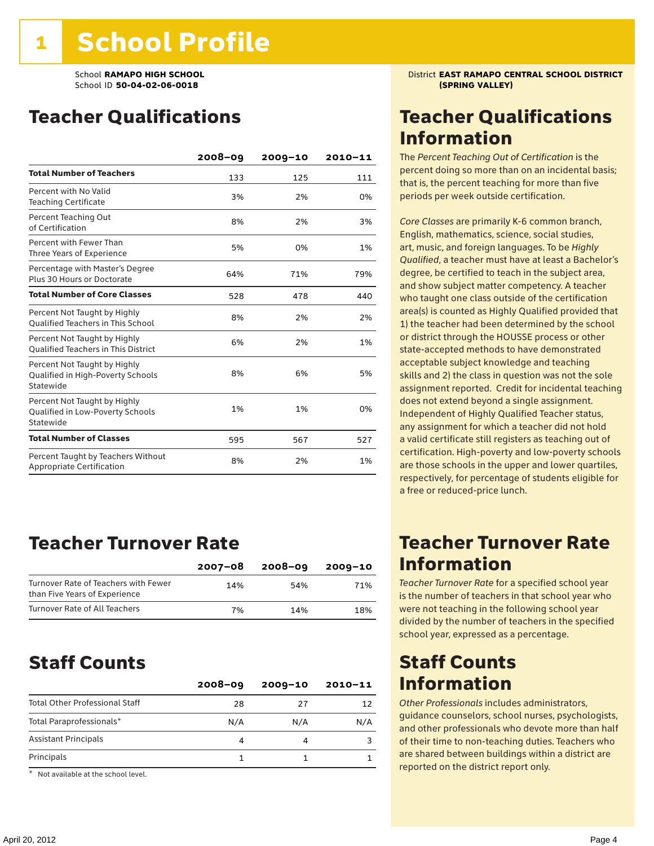### Teacher Qualifications

|                                                                                | 2008-09 | $2009 - 10$ | 2010-11 |
|--------------------------------------------------------------------------------|---------|-------------|---------|
| <b>Total Number of Teachers</b>                                                | 133     | 125         | 111     |
| Percent with No Valid<br><b>Teaching Certificate</b>                           | 3%      | 2%          | 0%      |
| Percent Teaching Out<br>of Certification                                       | 8%      | 2%          | 3%      |
| Percent with Fewer Than<br>Three Years of Experience                           | 5%      | 0%          | 1%      |
| Percentage with Master's Degree<br>Plus 30 Hours or Doctorate                  | 64%     | 71%         | 79%     |
| <b>Total Number of Core Classes</b>                                            | 528     | 478         | 440     |
| Percent Not Taught by Highly<br><b>Oualified Teachers in This School</b>       | 8%      | 2%          | 2%      |
| Percent Not Taught by Highly<br><b>Oualified Teachers in This District</b>     | 6%      | 2%          | 1%      |
| Percent Not Taught by Highly<br>Qualified in High-Poverty Schools<br>Statewide | 8%      | 6%          | 5%      |
| Percent Not Taught by Highly<br>Qualified in Low-Poverty Schools<br>Statewide  | 1%      | 1%          | 0%      |
| <b>Total Number of Classes</b>                                                 | 595     | 567         | 527     |
| Percent Taught by Teachers Without<br>Appropriate Certification                | 8%      | 2%          | 1%      |

### Teacher Turnover Rate

|                                                                       | $2007 - 08$ | 2008-09 | 2009-10 |
|-----------------------------------------------------------------------|-------------|---------|---------|
| Turnover Rate of Teachers with Fewer<br>than Five Years of Experience | 14%         | 54%     | 71%     |
| Turnover Rate of All Teachers                                         | 7%          | 14%     | 18%     |

### Staff Counts

| $2008 - 09$ | $2009 - 10$ | $2010 - 11$ |
|-------------|-------------|-------------|
| 28          | 27          | 12          |
| N/A         | N/A         | N/A         |
| 4           |             |             |
|             |             |             |
|             |             |             |

\* Not available at the school level.

School **RAMAPO HIGH SCHOOL** District **EAST RAMAPO CENTRAL SCHOOL DISTRICT**

### Teacher Qualifications Information

The *Percent Teaching Out of Certification* is the percent doing so more than on an incidental basis; that is, the percent teaching for more than five periods per week outside certification.

*Core Classes* are primarily K-6 common branch, English, mathematics, science, social studies, art, music, and foreign languages. To be *Highly Qualified*, a teacher must have at least a Bachelor's degree, be certified to teach in the subject area, and show subject matter competency. A teacher who taught one class outside of the certification area(s) is counted as Highly Qualified provided that 1) the teacher had been determined by the school or district through the HOUSSE process or other state-accepted methods to have demonstrated acceptable subject knowledge and teaching skills and 2) the class in question was not the sole assignment reported. Credit for incidental teaching does not extend beyond a single assignment. Independent of Highly Qualified Teacher status, any assignment for which a teacher did not hold a valid certificate still registers as teaching out of certification. High-poverty and low-poverty schools are those schools in the upper and lower quartiles, respectively, for percentage of students eligible for a free or reduced-price lunch.

### Teacher Turnover Rate Information

*Teacher Turnover Rate* for a specified school year is the number of teachers in that school year who were not teaching in the following school year divided by the number of teachers in the specified school year, expressed as a percentage.

### Staff Counts Information

*Other Professionals* includes administrators, guidance counselors, school nurses, psychologists, and other professionals who devote more than half of their time to non-teaching duties. Teachers who are shared between buildings within a district are reported on the district report only.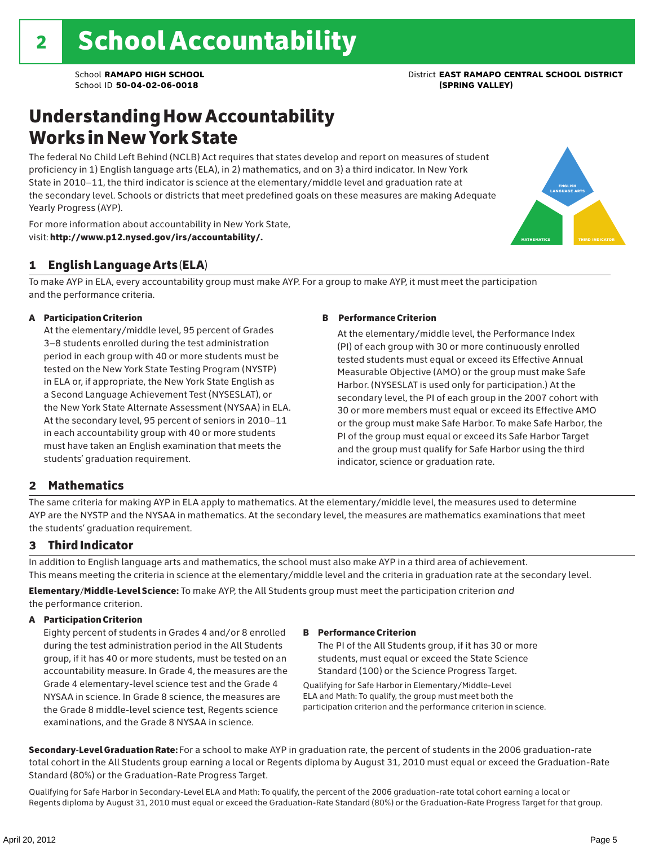### Understanding How Accountability Works in New York State

The federal No Child Left Behind (NCLB) Act requires that states develop and report on measures of student proficiency in 1) English language arts (ELA), in 2) mathematics, and on 3) a third indicator. In New York State in 2010–11, the third indicator is science at the elementary/middle level and graduation rate at the secondary level. Schools or districts that meet predefined goals on these measures are making Adequate Yearly Progress (AYP).



For more information about accountability in New York State, visit: http://www.p12.nysed.gov/irs/accountability/.

### 1 English Language Arts (ELA)

To make AYP in ELA, every accountability group must make AYP. For a group to make AYP, it must meet the participation and the performance criteria.

### A Participation Criterion

At the elementary/middle level, 95 percent of Grades 3–8 students enrolled during the test administration period in each group with 40 or more students must be tested on the New York State Testing Program (NYSTP) in ELA or, if appropriate, the New York State English as a Second Language Achievement Test (NYSESLAT), or the New York State Alternate Assessment (NYSAA) in ELA. At the secondary level, 95 percent of seniors in 2010–11 in each accountability group with 40 or more students must have taken an English examination that meets the students' graduation requirement.

### B Performance Criterion

At the elementary/middle level, the Performance Index (PI) of each group with 30 or more continuously enrolled tested students must equal or exceed its Effective Annual Measurable Objective (AMO) or the group must make Safe Harbor. (NYSESLAT is used only for participation.) At the secondary level, the PI of each group in the 2007 cohort with 30 or more members must equal or exceed its Effective AMO or the group must make Safe Harbor. To make Safe Harbor, the PI of the group must equal or exceed its Safe Harbor Target and the group must qualify for Safe Harbor using the third indicator, science or graduation rate.

### 2 Mathematics

The same criteria for making AYP in ELA apply to mathematics. At the elementary/middle level, the measures used to determine AYP are the NYSTP and the NYSAA in mathematics. At the secondary level, the measures are mathematics examinations that meet the students' graduation requirement.

### 3 Third Indicator

In addition to English language arts and mathematics, the school must also make AYP in a third area of achievement. This means meeting the criteria in science at the elementary/middle level and the criteria in graduation rate at the secondary level.

Elementary/Middle-Level Science: To make AYP, the All Students group must meet the participation criterion *and* the performance criterion.

### A Participation Criterion

Eighty percent of students in Grades 4 and/or 8 enrolled during the test administration period in the All Students group, if it has 40 or more students, must be tested on an accountability measure. In Grade 4, the measures are the Grade 4 elementary-level science test and the Grade 4 NYSAA in science. In Grade 8 science, the measures are the Grade 8 middle-level science test, Regents science examinations, and the Grade 8 NYSAA in science.

### B Performance Criterion

The PI of the All Students group, if it has 30 or more students, must equal or exceed the State Science Standard (100) or the Science Progress Target.

Qualifying for Safe Harbor in Elementary/Middle-Level ELA and Math: To qualify, the group must meet both the participation criterion and the performance criterion in science.

Secondary-Level Graduation Rate: For a school to make AYP in graduation rate, the percent of students in the 2006 graduation-rate total cohort in the All Students group earning a local or Regents diploma by August 31, 2010 must equal or exceed the Graduation-Rate Standard (80%) or the Graduation-Rate Progress Target.

Qualifying for Safe Harbor in Secondary-Level ELA and Math: To qualify, the percent of the 2006 graduation-rate total cohort earning a local or Regents diploma by August 31, 2010 must equal or exceed the Graduation-Rate Standard (80%) or the Graduation-Rate Progress Target for that group.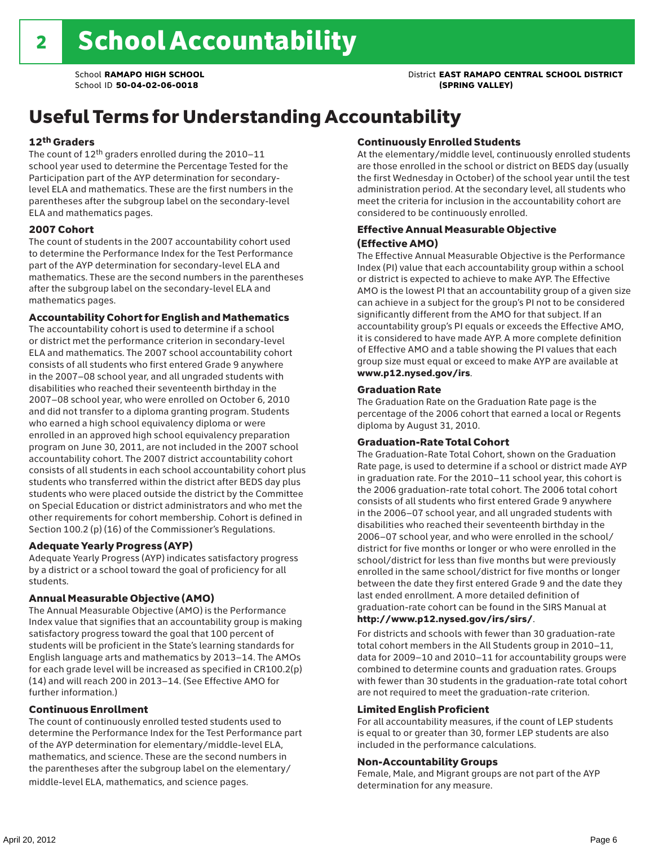### School **RAMAPO HIGH SCHOOL** District **EAST RAMAPO CENTRAL SCHOOL DISTRICT**

## Useful Terms for Understanding Accountability

### 12th Graders

The count of 12th graders enrolled during the 2010–11 school year used to determine the Percentage Tested for the Participation part of the AYP determination for secondarylevel ELA and mathematics. These are the first numbers in the parentheses after the subgroup label on the secondary-level ELA and mathematics pages.

### 2007 Cohort

The count of students in the 2007 accountability cohort used to determine the Performance Index for the Test Performance part of the AYP determination for secondary-level ELA and mathematics. These are the second numbers in the parentheses after the subgroup label on the secondary-level ELA and mathematics pages.

### Accountability Cohort for English and Mathematics

The accountability cohort is used to determine if a school or district met the performance criterion in secondary-level ELA and mathematics. The 2007 school accountability cohort consists of all students who first entered Grade 9 anywhere in the 2007–08 school year, and all ungraded students with disabilities who reached their seventeenth birthday in the 2007–08 school year, who were enrolled on October 6, 2010 and did not transfer to a diploma granting program. Students who earned a high school equivalency diploma or were enrolled in an approved high school equivalency preparation program on June 30, 2011, are not included in the 2007 school accountability cohort. The 2007 district accountability cohort consists of all students in each school accountability cohort plus students who transferred within the district after BEDS day plus students who were placed outside the district by the Committee on Special Education or district administrators and who met the other requirements for cohort membership. Cohort is defined in Section 100.2 (p) (16) of the Commissioner's Regulations.

### Adequate Yearly Progress (AYP)

Adequate Yearly Progress (AYP) indicates satisfactory progress by a district or a school toward the goal of proficiency for all students.

### Annual Measurable Objective (AMO)

The Annual Measurable Objective (AMO) is the Performance Index value that signifies that an accountability group is making satisfactory progress toward the goal that 100 percent of students will be proficient in the State's learning standards for English language arts and mathematics by 2013–14. The AMOs for each grade level will be increased as specified in CR100.2(p) (14) and will reach 200 in 2013–14. (See Effective AMO for further information.)

### Continuous Enrollment

The count of continuously enrolled tested students used to determine the Performance Index for the Test Performance part of the AYP determination for elementary/middle-level ELA, mathematics, and science. These are the second numbers in the parentheses after the subgroup label on the elementary/ middle-level ELA, mathematics, and science pages.

### Continuously Enrolled Students

At the elementary/middle level, continuously enrolled students are those enrolled in the school or district on BEDS day (usually the first Wednesday in October) of the school year until the test administration period. At the secondary level, all students who meet the criteria for inclusion in the accountability cohort are considered to be continuously enrolled.

### Effective Annual Measurable Objective (Effective AMO)

The Effective Annual Measurable Objective is the Performance Index (PI) value that each accountability group within a school or district is expected to achieve to make AYP. The Effective AMO is the lowest PI that an accountability group of a given size can achieve in a subject for the group's PI not to be considered significantly different from the AMO for that subject. If an accountability group's PI equals or exceeds the Effective AMO, it is considered to have made AYP. A more complete definition of Effective AMO and a table showing the PI values that each group size must equal or exceed to make AYP are available at www.p12.nysed.gov/irs.

### Graduation Rate

The Graduation Rate on the Graduation Rate page is the percentage of the 2006 cohort that earned a local or Regents diploma by August 31, 2010.

### Graduation-Rate Total Cohort

The Graduation-Rate Total Cohort, shown on the Graduation Rate page, is used to determine if a school or district made AYP in graduation rate. For the 2010–11 school year, this cohort is the 2006 graduation-rate total cohort. The 2006 total cohort consists of all students who first entered Grade 9 anywhere in the 2006–07 school year, and all ungraded students with disabilities who reached their seventeenth birthday in the 2006–07 school year, and who were enrolled in the school/ district for five months or longer or who were enrolled in the school/district for less than five months but were previously enrolled in the same school/district for five months or longer between the date they first entered Grade 9 and the date they last ended enrollment. A more detailed definition of graduation-rate cohort can be found in the SIRS Manual at

### http://www.p12.nysed.gov/irs/sirs/.

For districts and schools with fewer than 30 graduation-rate total cohort members in the All Students group in 2010–11, data for 2009–10 and 2010–11 for accountability groups were combined to determine counts and graduation rates. Groups with fewer than 30 students in the graduation-rate total cohort are not required to meet the graduation-rate criterion.

### Limited English Proficient

For all accountability measures, if the count of LEP students is equal to or greater than 30, former LEP students are also included in the performance calculations.

#### Non-Accountability Groups

Female, Male, and Migrant groups are not part of the AYP determination for any measure.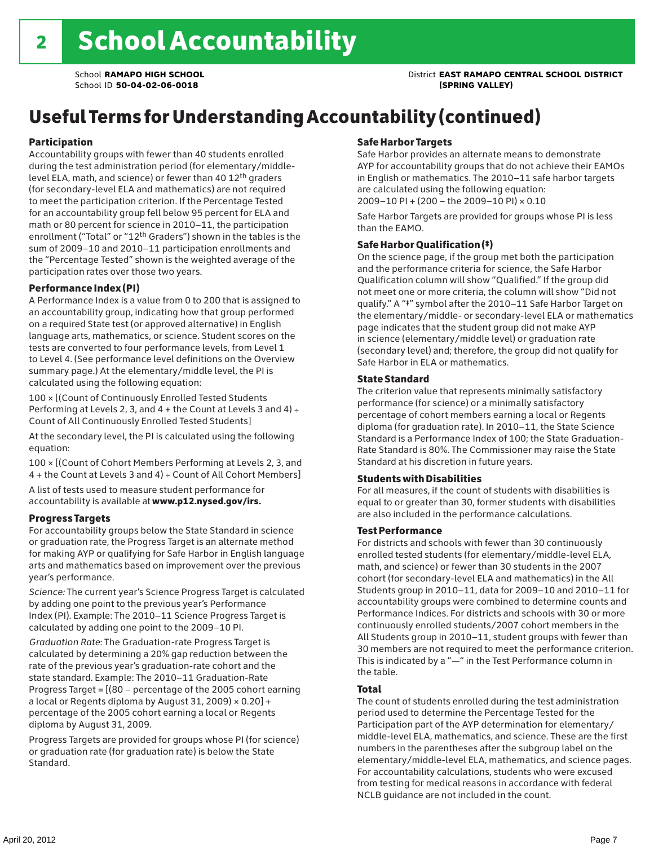School **RAMAPO HIGH SCHOOL** District **EAST RAMAPO CENTRAL SCHOOL DISTRICT**

## Useful Terms for Understanding Accountability (continued)

### Participation

Accountability groups with fewer than 40 students enrolled during the test administration period (for elementary/middlelevel ELA, math, and science) or fewer than 40 12th graders (for secondary-level ELA and mathematics) are not required to meet the participation criterion. If the Percentage Tested for an accountability group fell below 95 percent for ELA and math or 80 percent for science in 2010–11, the participation enrollment ("Total" or "12th Graders") shown in the tables is the sum of 2009–10 and 2010–11 participation enrollments and the "Percentage Tested" shown is the weighted average of the participation rates over those two years.

### Performance Index (PI)

A Performance Index is a value from 0 to 200 that is assigned to an accountability group, indicating how that group performed on a required State test (or approved alternative) in English language arts, mathematics, or science. Student scores on the tests are converted to four performance levels, from Level 1 to Level 4. (See performance level definitions on the Overview summary page.) At the elementary/middle level, the PI is calculated using the following equation:

100 × [(Count of Continuously Enrolled Tested Students Performing at Levels 2, 3, and  $4 +$  the Count at Levels 3 and  $4) \div$ Count of All Continuously Enrolled Tested Students]

At the secondary level, the PI is calculated using the following equation:

100 × [(Count of Cohort Members Performing at Levels 2, 3, and 4 + the Count at Levels 3 and 4) ÷ Count of All Cohort Members]

A list of tests used to measure student performance for accountability is available at www.p12.nysed.gov/irs.

### Progress Targets

For accountability groups below the State Standard in science or graduation rate, the Progress Target is an alternate method for making AYP or qualifying for Safe Harbor in English language arts and mathematics based on improvement over the previous year's performance.

*Science:* The current year's Science Progress Target is calculated by adding one point to the previous year's Performance Index (PI). Example: The 2010–11 Science Progress Target is calculated by adding one point to the 2009–10 PI.

*Graduation Rate*: The Graduation-rate Progress Target is calculated by determining a 20% gap reduction between the rate of the previous year's graduation-rate cohort and the state standard. Example: The 2010–11 Graduation-Rate Progress Target = [(80 – percentage of the 2005 cohort earning a local or Regents diploma by August 31, 2009)  $\times$  0.20] + percentage of the 2005 cohort earning a local or Regents diploma by August 31, 2009.

Progress Targets are provided for groups whose PI (for science) or graduation rate (for graduation rate) is below the State Standard.

### Safe Harbor Targets

Safe Harbor provides an alternate means to demonstrate AYP for accountability groups that do not achieve their EAMOs in English or mathematics. The 2010–11 safe harbor targets are calculated using the following equation: 2009–10 PI + (200 – the 2009–10 PI) × 0.10

Safe Harbor Targets are provided for groups whose PI is less than the EAMO.

### Safe Harbor Qualification (‡)

On the science page, if the group met both the participation and the performance criteria for science, the Safe Harbor Qualification column will show "Qualified." If the group did not meet one or more criteria, the column will show "Did not qualify." A "‡" symbol after the 2010–11 Safe Harbor Target on the elementary/middle- or secondary-level ELA or mathematics page indicates that the student group did not make AYP in science (elementary/middle level) or graduation rate (secondary level) and; therefore, the group did not qualify for Safe Harbor in ELA or mathematics.

### State Standard

The criterion value that represents minimally satisfactory performance (for science) or a minimally satisfactory percentage of cohort members earning a local or Regents diploma (for graduation rate). In 2010–11, the State Science Standard is a Performance Index of 100; the State Graduation-Rate Standard is 80%. The Commissioner may raise the State Standard at his discretion in future years.

### Students with Disabilities

For all measures, if the count of students with disabilities is equal to or greater than 30, former students with disabilities are also included in the performance calculations.

### Test Performance

For districts and schools with fewer than 30 continuously enrolled tested students (for elementary/middle-level ELA, math, and science) or fewer than 30 students in the 2007 cohort (for secondary-level ELA and mathematics) in the All Students group in 2010–11, data for 2009–10 and 2010–11 for accountability groups were combined to determine counts and Performance Indices. For districts and schools with 30 or more continuously enrolled students/2007 cohort members in the All Students group in 2010–11, student groups with fewer than 30 members are not required to meet the performance criterion. This is indicated by a "—" in the Test Performance column in the table.

### Total

The count of students enrolled during the test administration period used to determine the Percentage Tested for the Participation part of the AYP determination for elementary/ middle-level ELA, mathematics, and science. These are the first numbers in the parentheses after the subgroup label on the elementary/middle-level ELA, mathematics, and science pages. For accountability calculations, students who were excused from testing for medical reasons in accordance with federal NCLB guidance are not included in the count.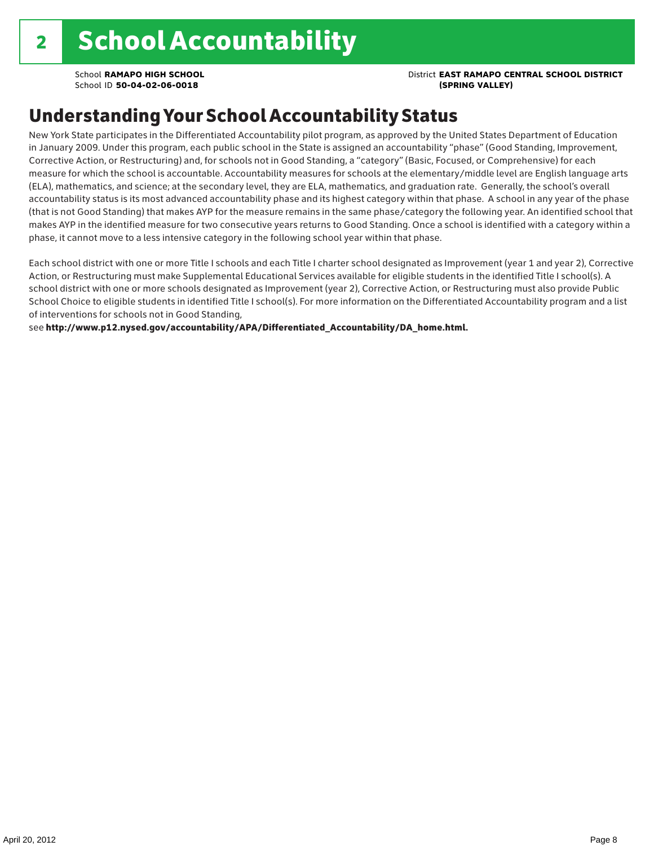### School **RAMAPO HIGH SCHOOL** District **EAST RAMAPO CENTRAL SCHOOL DISTRICT**

### Understanding Your School Accountability Status

New York State participates in the Differentiated Accountability pilot program, as approved by the United States Department of Education in January 2009. Under this program, each public school in the State is assigned an accountability "phase" (Good Standing, Improvement, Corrective Action, or Restructuring) and, for schools not in Good Standing, a "category" (Basic, Focused, or Comprehensive) for each measure for which the school is accountable. Accountability measures for schools at the elementary/middle level are English language arts (ELA), mathematics, and science; at the secondary level, they are ELA, mathematics, and graduation rate. Generally, the school's overall accountability status is its most advanced accountability phase and its highest category within that phase. A school in any year of the phase (that is not Good Standing) that makes AYP for the measure remains in the same phase/category the following year. An identified school that makes AYP in the identified measure for two consecutive years returns to Good Standing. Once a school is identified with a category within a phase, it cannot move to a less intensive category in the following school year within that phase.

Each school district with one or more Title I schools and each Title I charter school designated as Improvement (year 1 and year 2), Corrective Action, or Restructuring must make Supplemental Educational Services available for eligible students in the identified Title I school(s). A school district with one or more schools designated as Improvement (year 2), Corrective Action, or Restructuring must also provide Public School Choice to eligible students in identified Title I school(s). For more information on the Differentiated Accountability program and a list of interventions for schools not in Good Standing,

see http://www.p12.nysed.gov/accountability/APA/Differentiated\_Accountability/DA\_home.html.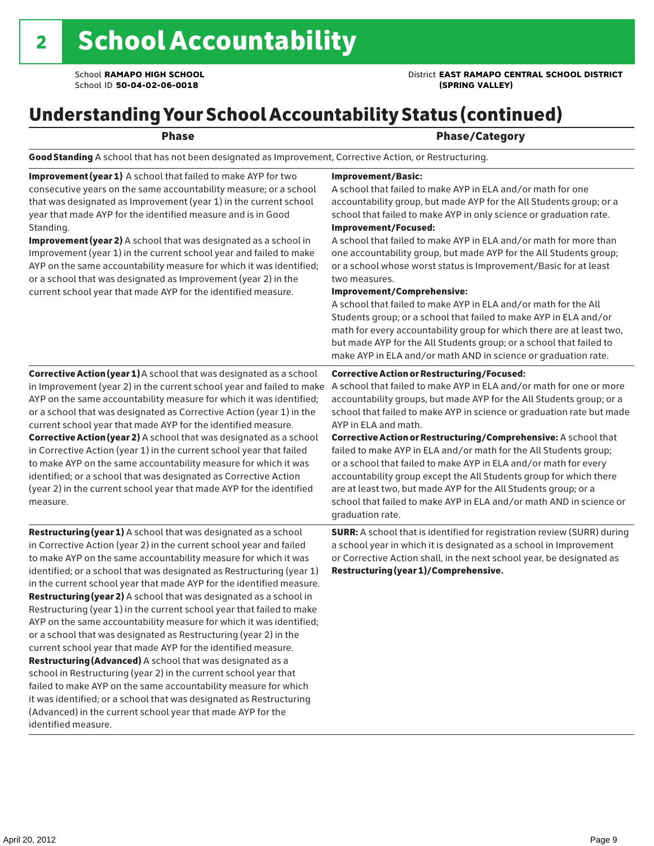### School **RAMAPO HIGH SCHOOL** District **EAST RAMAPO CENTRAL SCHOOL DISTRICT**

### Understanding Your School Accountability Status (continued)

### Phase **Phase** Phase/Category

Good Standing A school that has not been designated as Improvement, Corrective Action, or Restructuring.

Improvement (year 1) A school that failed to make AYP for two consecutive years on the same accountability measure; or a school that was designated as Improvement (year 1) in the current school year that made AYP for the identified measure and is in Good Standing.

Improvement (year 2) A school that was designated as a school in Improvement (year 1) in the current school year and failed to make AYP on the same accountability measure for which it was identified; or a school that was designated as Improvement (year 2) in the current school year that made AYP for the identified measure.

### Corrective Action (year 1) A school that was designated as a school in Improvement (year 2) in the current school year and failed to make AYP on the same accountability measure for which it was identified; or a school that was designated as Corrective Action (year 1) in the current school year that made AYP for the identified measure. Corrective Action (year 2) A school that was designated as a school in Corrective Action (year 1) in the current school year that failed to make AYP on the same accountability measure for which it was identified; or a school that was designated as Corrective Action (year 2) in the current school year that made AYP for the identified measure.

Restructuring (year 1) A school that was designated as a school in Corrective Action (year 2) in the current school year and failed to make AYP on the same accountability measure for which it was identified; or a school that was designated as Restructuring (year 1) in the current school year that made AYP for the identified measure. Restructuring (year 2) A school that was designated as a school in Restructuring (year 1) in the current school year that failed to make AYP on the same accountability measure for which it was identified; or a school that was designated as Restructuring (year 2) in the current school year that made AYP for the identified measure. Restructuring (Advanced) A school that was designated as a school in Restructuring (year 2) in the current school year that failed to make AYP on the same accountability measure for which it was identified; or a school that was designated as Restructuring (Advanced) in the current school year that made AYP for the identified measure.

#### Improvement/Basic:

A school that failed to make AYP in ELA and/or math for one accountability group, but made AYP for the All Students group; or a school that failed to make AYP in only science or graduation rate. Improvement/Focused:

A school that failed to make AYP in ELA and/or math for more than one accountability group, but made AYP for the All Students group; or a school whose worst status is Improvement/Basic for at least two measures.

#### Improvement/Comprehensive:

A school that failed to make AYP in ELA and/or math for the All Students group; or a school that failed to make AYP in ELA and/or math for every accountability group for which there are at least two, but made AYP for the All Students group; or a school that failed to make AYP in ELA and/or math AND in science or graduation rate.

#### Corrective Action or Restructuring/Focused:

A school that failed to make AYP in ELA and/or math for one or more accountability groups, but made AYP for the All Students group; or a school that failed to make AYP in science or graduation rate but made AYP in ELA and math.

Corrective Action or Restructuring/Comprehensive: A school that failed to make AYP in ELA and/or math for the All Students group; or a school that failed to make AYP in ELA and/or math for every accountability group except the All Students group for which there are at least two, but made AYP for the All Students group; or a school that failed to make AYP in ELA and/or math AND in science or graduation rate.

SURR: A school that is identified for registration review (SURR) during a school year in which it is designated as a school in Improvement or Corrective Action shall, in the next school year, be designated as Restructuring (year 1)/Comprehensive.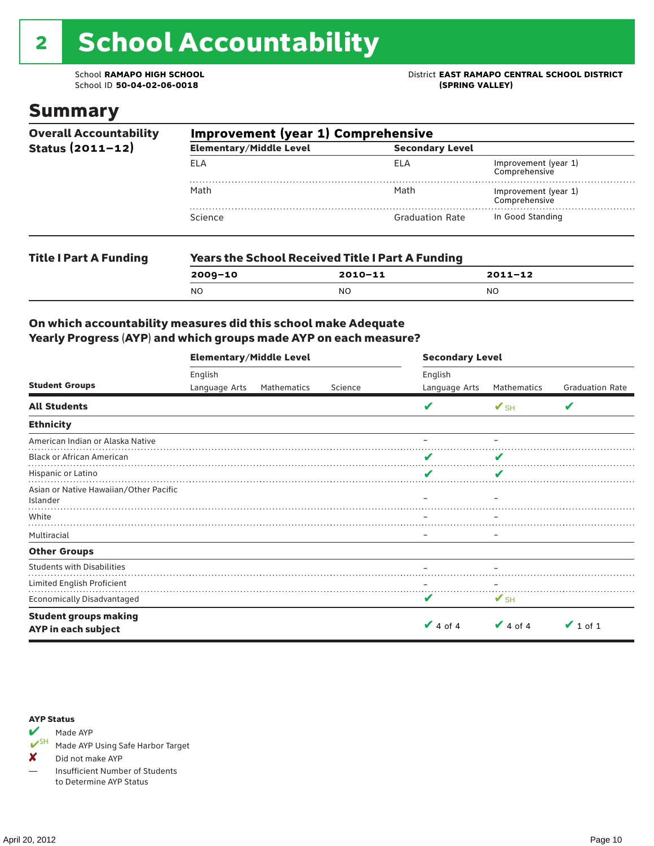# 2 School Accountability

School ID 50-04-02-06-0018

### Summary

| <b>Overall Accountability</b> | Improvement (year 1) Comprehensive |                                                         |                                                                                |  |  |  |
|-------------------------------|------------------------------------|---------------------------------------------------------|--------------------------------------------------------------------------------|--|--|--|
| Status $(2011 - 12)$          | <b>Elementary/Middle Level</b>     | <b>Secondary Level</b>                                  |                                                                                |  |  |  |
|                               | ELA                                | ELA                                                     | Improvement (year 1)<br>Comprehensive<br>Improvement (year 1)<br>Comprehensive |  |  |  |
|                               | Math                               | Math                                                    |                                                                                |  |  |  |
|                               | Science                            | <b>Graduation Rate</b>                                  | In Good Standing                                                               |  |  |  |
| <b>Title I Part A Funding</b> |                                    | <b>Years the School Received Title I Part A Funding</b> |                                                                                |  |  |  |
|                               | $2009 - 10$                        | $2010 - 11$                                             | $2011 - 12$                                                                    |  |  |  |

NO NO NO

### On which accountability measures did this school make Adequate Yearly Progress (AYP) and which groups made AYP on each measure?

|                                                     | <b>Elementary/Middle Level</b> |             |         | <b>Secondary Level</b>   |                                       |               |  |  |
|-----------------------------------------------------|--------------------------------|-------------|---------|--------------------------|---------------------------------------|---------------|--|--|
| <b>Student Groups</b>                               | English<br>Language Arts       | Mathematics | Science | English<br>Language Arts | Mathematics<br><b>Graduation Rate</b> |               |  |  |
| <b>All Students</b>                                 |                                |             |         | V                        | $V_{\text{SH}}$                       | V             |  |  |
| <b>Ethnicity</b>                                    |                                |             |         |                          |                                       |               |  |  |
| American Indian or Alaska Native                    |                                |             |         |                          |                                       |               |  |  |
| <b>Black or African American</b>                    |                                |             |         | v                        | V                                     |               |  |  |
| Hispanic or Latino                                  |                                |             |         | V                        | V                                     |               |  |  |
| Asian or Native Hawaiian/Other Pacific<br>Islander  |                                |             |         |                          |                                       |               |  |  |
| White                                               |                                |             |         |                          |                                       |               |  |  |
| Multiracial                                         |                                |             |         |                          |                                       |               |  |  |
| <b>Other Groups</b>                                 |                                |             |         |                          |                                       |               |  |  |
| <b>Students with Disabilities</b>                   |                                |             |         |                          |                                       |               |  |  |
| Limited English Proficient                          |                                |             |         |                          |                                       |               |  |  |
| Economically Disadvantaged                          |                                |             |         | v                        | $V$ SH                                |               |  |  |
| <b>Student groups making</b><br>AYP in each subject |                                |             |         | $\vee$ 4 of 4            | $\vee$ 4 of 4                         | $\vee$ 1 of 1 |  |  |

#### AYP Status



Made AYP Using Safe Harbor Target

✘ Did not make AYP

— Insufficient Number of Students to Determine AYP Status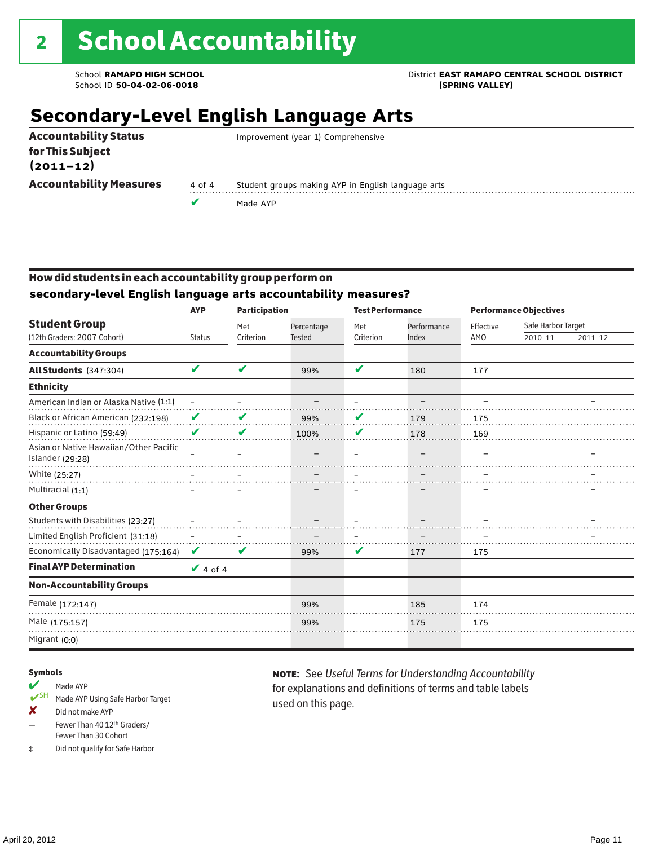School ID 50-04-02-06-0018

School **RAMAPO HIGH SCHOOL**<br>School ID 50-04-02-06-0018<br>(SPRING VALLEY)

## **Secondary-Level English Language Arts**

|                                   | v      | Made AYP                                           |
|-----------------------------------|--------|----------------------------------------------------|
| <b>Accountability Measures</b>    | 4 of 4 | Student groups making AYP in English language arts |
| for This Subject<br>$(2011 - 12)$ |        |                                                    |
| <b>Accountability Status</b>      |        | Improvement (year 1) Comprehensive                 |

### How did students in each accountability group perform on **secondary-level English language arts accountability measures?**

|                                                            | <b>AYP</b>               | <b>Participation</b> |                             |                  | <b>Test Performance</b> |                  | <b>Performance Objectives</b> |         |  |
|------------------------------------------------------------|--------------------------|----------------------|-----------------------------|------------------|-------------------------|------------------|-------------------------------|---------|--|
| <b>Student Group</b><br>(12th Graders: 2007 Cohort)        | <b>Status</b>            | Met<br>Criterion     | Percentage<br><b>Tested</b> | Met<br>Criterion | Performance<br>Index    | Effective<br>AMO | Safe Harbor Target<br>2010-11 | 2011-12 |  |
| <b>Accountability Groups</b>                               |                          |                      |                             |                  |                         |                  |                               |         |  |
|                                                            | V                        | V                    |                             | V                |                         |                  |                               |         |  |
| All Students (347:304)                                     |                          |                      | 99%                         |                  | 180                     | 177              |                               |         |  |
| <b>Ethnicity</b>                                           |                          |                      |                             |                  |                         |                  |                               |         |  |
| American Indian or Alaska Native (1:1)                     | $\overline{\phantom{0}}$ |                      |                             |                  |                         |                  |                               |         |  |
| Black or African American (232:198)                        | V                        | V                    | 99%                         | V                | 179                     | 175              |                               |         |  |
| Hispanic or Latino (59:49)                                 | V                        | V                    | 100%                        | V                | 178                     | 169              |                               |         |  |
| Asian or Native Hawaiian/Other Pacific<br>Islander (29:28) |                          |                      |                             |                  |                         |                  |                               |         |  |
| White (25:27)                                              |                          |                      |                             |                  |                         |                  |                               |         |  |
| Multiracial (1:1)                                          |                          |                      |                             |                  |                         |                  |                               |         |  |
| <b>Other Groups</b>                                        |                          |                      |                             |                  |                         |                  |                               |         |  |
| Students with Disabilities (23:27)                         |                          |                      |                             |                  |                         |                  |                               |         |  |
| Limited English Proficient (31:18)                         |                          |                      |                             |                  |                         |                  |                               |         |  |
| Economically Disadvantaged (175:164)                       | V                        | V                    | 99%                         | V                | 177                     | 175              |                               |         |  |
| <b>Final AYP Determination</b>                             | $\vee$ 4 of 4            |                      |                             |                  |                         |                  |                               |         |  |
| <b>Non-Accountability Groups</b>                           |                          |                      |                             |                  |                         |                  |                               |         |  |
| Female (172:147)                                           |                          |                      | 99%                         |                  | 185                     | 174              |                               |         |  |
| Male (175:157)                                             |                          |                      | 99%                         |                  | 175                     | 175              |                               |         |  |
| Migrant (0:0)                                              |                          |                      |                             |                  |                         |                  |                               |         |  |

#### Symbols

- Made AYP<br>
SH Made AVP Made AYP Using Safe Harbor Target
- ✘ Did not make AYP
- Fewer Than 40 12th Graders/ Fewer Than 30 Cohort
- ‡ Did not qualify for Safe Harbor

note: See *Useful Terms for Understanding Accountability*  for explanations and definitions of terms and table labels used on this page.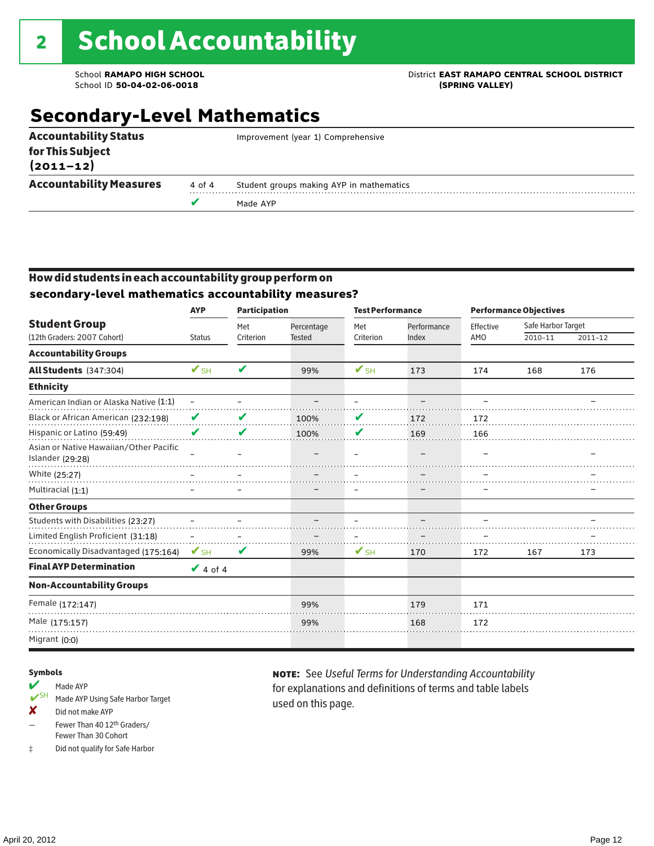School ID 50-04-02-06-0018

### School **RAMAPO HIGH SCHOOL**<br>School ID 50-04-02-06-0018<br>
School ID 50-04-02-06-0018

### **Secondary-Level Mathematics**

|                                   |        | Made AYP                                 |
|-----------------------------------|--------|------------------------------------------|
| <b>Accountability Measures</b>    | 4 of 4 | Student groups making AYP in mathematics |
| for This Subject<br>$(2011 - 12)$ |        |                                          |
| <b>Accountability Status</b>      |        | Improvement (year 1) Comprehensive       |

### How did students in each accountability group perform on **secondary-level mathematics accountability measures?**

|                                                            | <b>AYP</b>               | <b>Participation</b> |               | <b>Test Performance</b>  |             | <b>Performance Objectives</b> |                    |         |
|------------------------------------------------------------|--------------------------|----------------------|---------------|--------------------------|-------------|-------------------------------|--------------------|---------|
| <b>Student Group</b><br>(12th Graders: 2007 Cohort)        |                          | Met                  | Percentage    | Met                      | Performance | Effective                     | Safe Harbor Target |         |
|                                                            | <b>Status</b>            | Criterion            | <b>Tested</b> | Criterion                | Index       | AMO                           | 2010-11            | 2011-12 |
| <b>Accountability Groups</b>                               |                          |                      |               |                          |             |                               |                    |         |
| All Students (347:304)                                     | $\mathbf{V}_{\text{SH}}$ | V                    | 99%           | $\mathbf{V}_{\text{SH}}$ | 173         | 174                           | 168                | 176     |
| <b>Ethnicity</b>                                           |                          |                      |               |                          |             |                               |                    |         |
| American Indian or Alaska Native (1:1)                     | $\qquad \qquad -$        |                      |               |                          |             |                               |                    |         |
| Black or African American (232:198)                        | V                        | V                    | 100%          | V                        | 172         | 172                           |                    |         |
| Hispanic or Latino (59:49)                                 | V                        | V                    | 100%          | V                        | 169         | 166                           |                    |         |
| Asian or Native Hawaiian/Other Pacific<br>Islander (29:28) |                          |                      |               |                          |             |                               |                    |         |
| White (25:27)                                              |                          |                      |               |                          |             |                               |                    |         |
| Multiracial (1:1)                                          |                          |                      |               |                          |             |                               |                    |         |
| <b>Other Groups</b>                                        |                          |                      |               |                          |             |                               |                    |         |
| Students with Disabilities (23:27)                         |                          |                      |               |                          |             |                               |                    |         |
| Limited English Proficient (31:18)                         |                          |                      |               |                          |             |                               |                    |         |
| Economically Disadvantaged (175:164)                       | $\mathbf{V}_{\text{SH}}$ | V                    | 99%           | $\mathbf{V}_{\text{SH}}$ | 170         | 172                           | 167                | 173     |
| <b>Final AYP Determination</b>                             | $\vee$ 4 of 4            |                      |               |                          |             |                               |                    |         |
| <b>Non-Accountability Groups</b>                           |                          |                      |               |                          |             |                               |                    |         |
| Female (172:147)                                           |                          |                      | 99%           |                          | 179         | 171                           |                    |         |
| Male (175:157)                                             |                          |                      | 99%           |                          | 168         | 172                           |                    |         |
| Migrant (0:0)                                              |                          |                      |               |                          |             |                               |                    |         |

### Symbols

- Made AYP<br>
SH Made AVP Made AYP Using Safe Harbor Target
- ✘ Did not make AYP
- Fewer Than 40 12th Graders/ Fewer Than 30 Cohort
- ‡ Did not qualify for Safe Harbor

note: See *Useful Terms for Understanding Accountability*  for explanations and definitions of terms and table labels used on this page.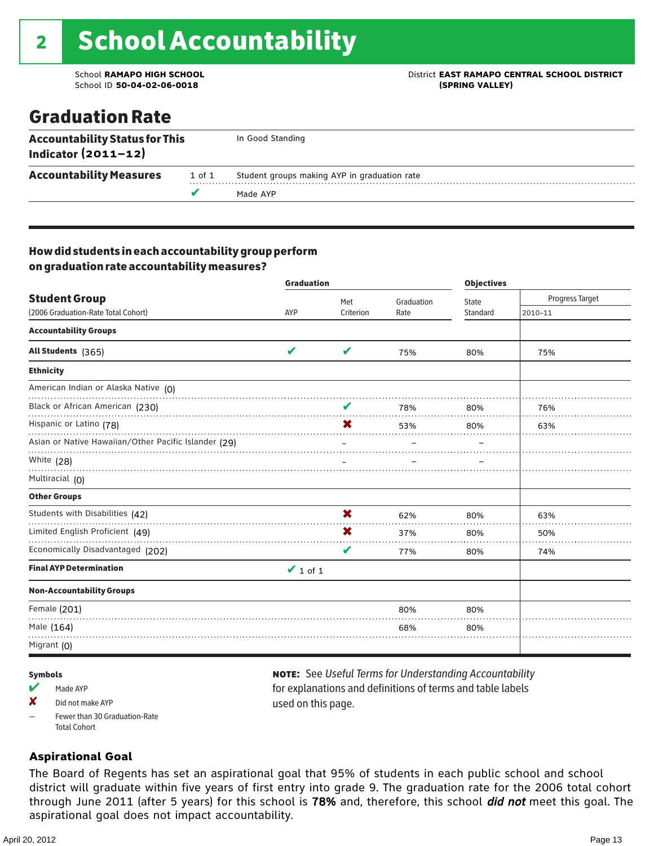### School **RAMAPO HIGH SCHOOL** District **EAST RAMAPO CENTRAL SCHOOL DISTRICT**

### Graduation Rate

| <b>Accountability Status for This</b><br>Indicator $(2011-12)$ |        | In Good Standing                             |
|----------------------------------------------------------------|--------|----------------------------------------------|
| <b>Accountability Measures</b>                                 | 1 of 1 | Student groups making AYP in graduation rate |
|                                                                |        | Made AYP                                     |

### How did students in each accountability group perform on graduation rate accountability measures?

|                                                      | <b>Graduation</b> |           | <b>Objectives</b> |          |                 |
|------------------------------------------------------|-------------------|-----------|-------------------|----------|-----------------|
| <b>Student Group</b>                                 |                   | Met       | Graduation        | State    | Progress Target |
| (2006 Graduation-Rate Total Cohort)                  | AYP               | Criterion | Rate              | Standard | 2010-11         |
| <b>Accountability Groups</b>                         |                   |           |                   |          |                 |
| All Students (365)                                   | V                 | V         | 75%               | 80%      | 75%             |
| <b>Ethnicity</b>                                     |                   |           |                   |          |                 |
| American Indian or Alaska Native (O)                 |                   |           |                   |          |                 |
| Black or African American (230)                      |                   | V         | 78%               | 80%      | 76%             |
| Hispanic or Latino (78)                              |                   | X         | 53%               | 80%      | 63%             |
| Asian or Native Hawaiian/Other Pacific Islander (29) |                   |           |                   |          |                 |
| White (28)                                           |                   |           |                   |          |                 |
| Multiracial (0)                                      |                   |           |                   |          |                 |
| <b>Other Groups</b>                                  |                   |           |                   |          |                 |
| Students with Disabilities (42)                      |                   | X         | 62%               | 80%      | 63%             |
| Limited English Proficient (49)                      |                   | X         | 37%               | 80%      | 50%             |
| Economically Disadvantaged (202)                     |                   | V         | 77%               | 80%      | 74%             |
| <b>Final AYP Determination</b>                       | $\vee$ 1 of 1     |           |                   |          |                 |
| <b>Non-Accountability Groups</b>                     |                   |           |                   |          |                 |
| Female (201)                                         |                   |           | 80%               | 80%      |                 |
| Male (164)                                           |                   |           | 68%               | 80%      |                 |
| Migrant $(0)$                                        |                   |           |                   |          |                 |

#### Symbols

- Made AYP
- X Did not make AYP
- Fewer than 30 Graduation-Rate Total Cohort

### note: See *Useful Terms for Understanding Accountability*  for explanations and definitions of terms and table labels used on this page.

### **Aspirational Goal**

The Board of Regents has set an aspirational goal that 95% of students in each public school and school district will graduate within five years of first entry into grade 9. The graduation rate for the 2006 total cohort through June 2011 (after 5 years) for this school is 78% and, therefore, this school did not meet this goal. The aspirational goal does not impact accountability.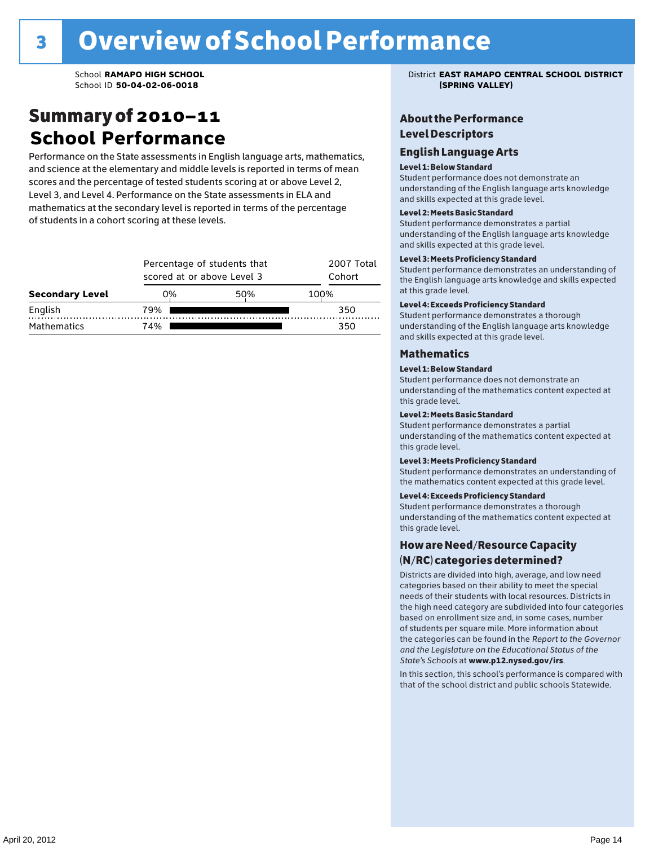### Summary of 2010–11 **School Performance**

Performance on the State assessments in English language arts, mathematics, and science at the elementary and middle levels is reported in terms of mean scores and the percentage of tested students scoring at or above Level 2, Level 3, and Level 4. Performance on the State assessments in ELA and mathematics at the secondary level is reported in terms of the percentage of students in a cohort scoring at these levels.

|                        |     | Percentage of students that<br>scored at or above Level 3 |      |  |  |  |  |
|------------------------|-----|-----------------------------------------------------------|------|--|--|--|--|
| <b>Secondary Level</b> | 0%  | 50%                                                       | 100% |  |  |  |  |
| English                | 79% |                                                           | 350  |  |  |  |  |
| <b>Mathematics</b>     | 74% |                                                           | 350  |  |  |  |  |

School **RAMAPO HIGH SCHOOL** District **EAST RAMAPO CENTRAL SCHOOL DISTRICT**

### About the Performance Level Descriptors

#### English I anguage Arts. The Learning English Language Arts

#### Level 1: Below Standard

understanding of the content expected in the subjection of the subjection  $\mathcal{L}$ Student performance does not demonstrate an Level 2: Partially Meeting Learning Standards. and skills expected at this grade level. understanding of the English language arts knowledge

#### Student performance demonstrates a partial Level 2: Meets Basic Standard understanding of the content expected in the subject of the subject of the subject of the subject of the subject

Student performance demonstrates a partial and skills expected at this grade level. Students performance demonstrates and understanding and understanding and understanding and understanding and u understanding of the English language arts knowledge

### Level 3: Meets Proficiency Standard

Level 4: Meeting Learning Standards with Distinction. the English language arts knowledge and skills expected at this grade level.<br>at this grade level.  $\mathbf{u}$  and  $\mathbf{y}$  and  $\mathbf{u}$  the subjected in the subjected in the subjected in the subjection  $\mathbf{v}$ Student performance demonstrates an understanding of

### Level 4: Exceeds Proficiency Standard

understanding of the English language arts knowledge and skills expected at this grade level.<br>———————————————————— Student performance demonstrates a thorough

#### Districts are districts and low need in the low need  $\sim$

#### categories based on their ability to meet the special Level 1: Below Standard

Student performance does not demonstrate an understanding of the mathematics content expected at  $\frac{1}{2}$  based on enrollment size and, in some cases, number  $\frac{1}{2}$  and,  $\frac{1}{2}$  and,  $\frac{1}{2}$ 

### $\overline{\mathsf{Level}}$  2: Meets Basic Standard about 2: More information about 2: More information about 2: More information about 2: More information about 2: More information about 2: More information about 2: More information abo

the categories can be found in the *Report to the Governor categories* can be found in the *Report to the Govern*or  $\alpha$ *and the Legislature on the Educational Status of the*  Student performance demonstrates a partial understanding of the mathematics content expected at this grade level.

### Level 3: Meets Proficiency Standard

Student performance demonstrates an understanding of the mathematics content expected at this grade level.

#### Level 4: Exceeds Proficiency Standard

Student performance demonstrates a thorough understanding of the mathematics content expected at this grade level.  $\mathcal{L}_{\text{max}}$  is performance with that of similar  $\mathcal{L}_{\text{max}}$ 

#### schools. The following factors are considered in grouping How are Need/Resource Capacity  $(N/RC)$  categories determined?  $\hphantom{N(2)}\sum_{n=1}^{\infty}\frac{1}{n}$

Districts are divided into high, average, and low need categories based on their ability to meet the special needs of their students with local resources. Districts in the high need category are subdivided into four categories based on enrollment size and, in some cases, number of students per square mile. More information about the categories can be found in the *Report to the Governor* Group: *State's Schools* at www.p12.nysed.gov/irs. *and the Legislature on the Educational Status of the* 

In this section, this school's performance is compared with that of the school district and public schools Statewide.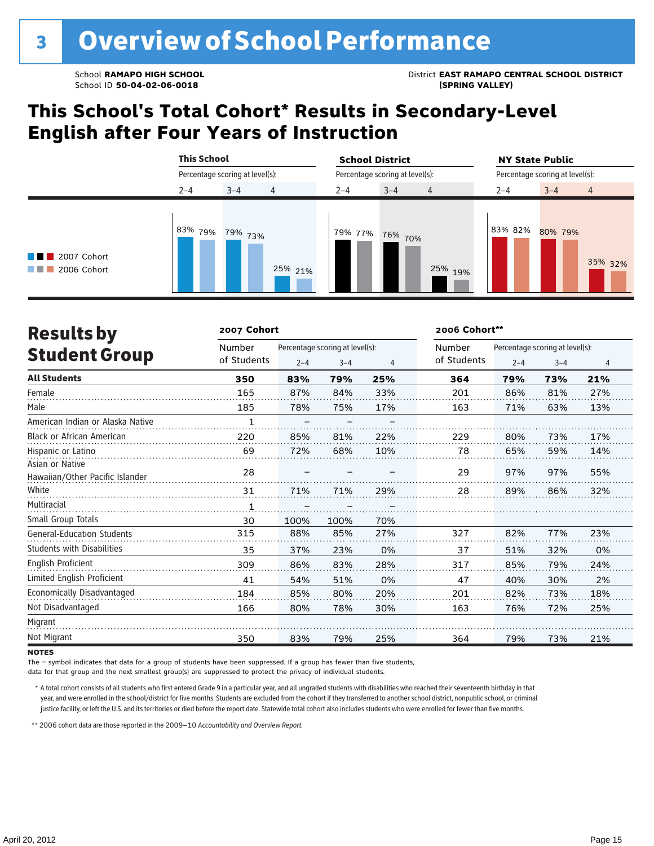### **This School's Total Cohort\* Results in Secondary-Level English after Four Years of Instruction**

|                                                |         | <b>This School</b><br>Percentage scoring at level(s): |         |         | <b>School District</b><br>Percentage scoring at level(s): |                |         | <b>NY State Public</b><br>Percentage scoring at level(s): |                |  |  |
|------------------------------------------------|---------|-------------------------------------------------------|---------|---------|-----------------------------------------------------------|----------------|---------|-----------------------------------------------------------|----------------|--|--|
|                                                |         |                                                       |         |         |                                                           |                |         |                                                           |                |  |  |
|                                                | $2 - 4$ | 4<br>$3 - 4$                                          |         | $2 - 4$ | $3 - 4$                                                   | $\overline{4}$ | $2 - 4$ | $3 - 4$                                                   | $\overline{4}$ |  |  |
| $\blacksquare$ 2007 Cohort<br>2006 Cohort<br>. | 83% 79% | 79% 73%                                               | 25% 21% | 79% 77% | 76% 70%                                                   | 25%<br>19%     | 83% 82% | 80% 79%                                                   | 35% 32%        |  |  |

| <b>Results by</b>                 | 2007 Cohort |         |                                 |     | 2006 Cohort** |                                 |         |                |  |
|-----------------------------------|-------------|---------|---------------------------------|-----|---------------|---------------------------------|---------|----------------|--|
|                                   | Number      |         | Percentage scoring at level(s): |     | Number        | Percentage scoring at level(s): |         |                |  |
| <b>Student Group</b>              | of Students | $2 - 4$ | $3 - 4$                         | 4   | of Students   | $2 - 4$                         | $3 - 4$ | $\overline{4}$ |  |
| <b>All Students</b>               | 350         | 83%     | 79%                             | 25% | 364           | 79%                             | 73%     | 21%            |  |
| Female                            | 165         | 87%     | 84%                             | 33% | 201           | 86%                             | 81%     | 27%            |  |
| Male                              | 185         | 78%     | 75%                             | 17% | 163           | 71%                             | 63%     | 13%            |  |
| American Indian or Alaska Native  | 1           |         |                                 |     |               |                                 |         |                |  |
| <b>Black or African American</b>  | 220         | 85%     | 81%                             | 22% | 229           | 80%                             | 73%     | 17%            |  |
| Hispanic or Latino                | 69          | 72%     | 68%                             | 10% | 78            | 65%                             | 59%     | 14%            |  |
| Asian or Native                   | 28          |         |                                 |     | 29            | 97%                             | 97%     |                |  |
| Hawaiian/Other Pacific Islander   |             |         |                                 |     |               |                                 |         | 55%            |  |
| White                             | 31          | 71%     | 71%                             | 29% | 28            | 89%                             | 86%     | 32%            |  |
| Multiracial                       | 1           |         |                                 |     |               |                                 |         |                |  |
| Small Group Totals                | 30          | 100%    | 100%                            | 70% |               |                                 |         |                |  |
| <b>General-Education Students</b> | 315         | 88%     | 85%                             | 27% | 327           | 82%                             | 77%     | 23%            |  |
| <b>Students with Disabilities</b> | 35          | 37%     | 23%                             | 0%  | 37            | 51%                             | 32%     | 0%             |  |
| English Proficient                | 309         | 86%     | 83%                             | 28% | 317           | 85%                             | 79%     | 24%            |  |
| Limited English Proficient        | 41          | 54%     | 51%                             | 0%  | 47            | 40%                             | 30%     | 2%             |  |
| Economically Disadvantaged        | 184         | 85%     | 80%                             | 20% | 201           | 82%                             | 73%     | 18%            |  |
| Not Disadvantaged                 | 166         | 80%     | 78%                             | 30% | 163           | 76%                             | 72%     | 25%            |  |
| Migrant                           |             |         |                                 |     |               |                                 |         |                |  |
| Not Migrant                       | 350         | 83%     | 79%                             | 25% | 364           | 79%                             | 73%     | 21%            |  |

#### **NOTES**

The – symbol indicates that data for a group of students have been suppressed. If a group has fewer than five students,

data for that group and the next smallest group(s) are suppressed to protect the privacy of individual students.

\* A total cohort consists of all students who first entered Grade 9 in a particular year, and all ungraded students with disabilities who reached their seventeenth birthday in that year, and were enrolled in the school/district for five months. Students are excluded from the cohort if they transferred to another school district, nonpublic school, or criminal justice facility, or left the U.S. and its territories or died before the report date. Statewide total cohort also includes students who were enrolled for fewer than five months.

\*\*2006 cohort data are those reported in the 2009–10 *Accountability and Overview Report*.